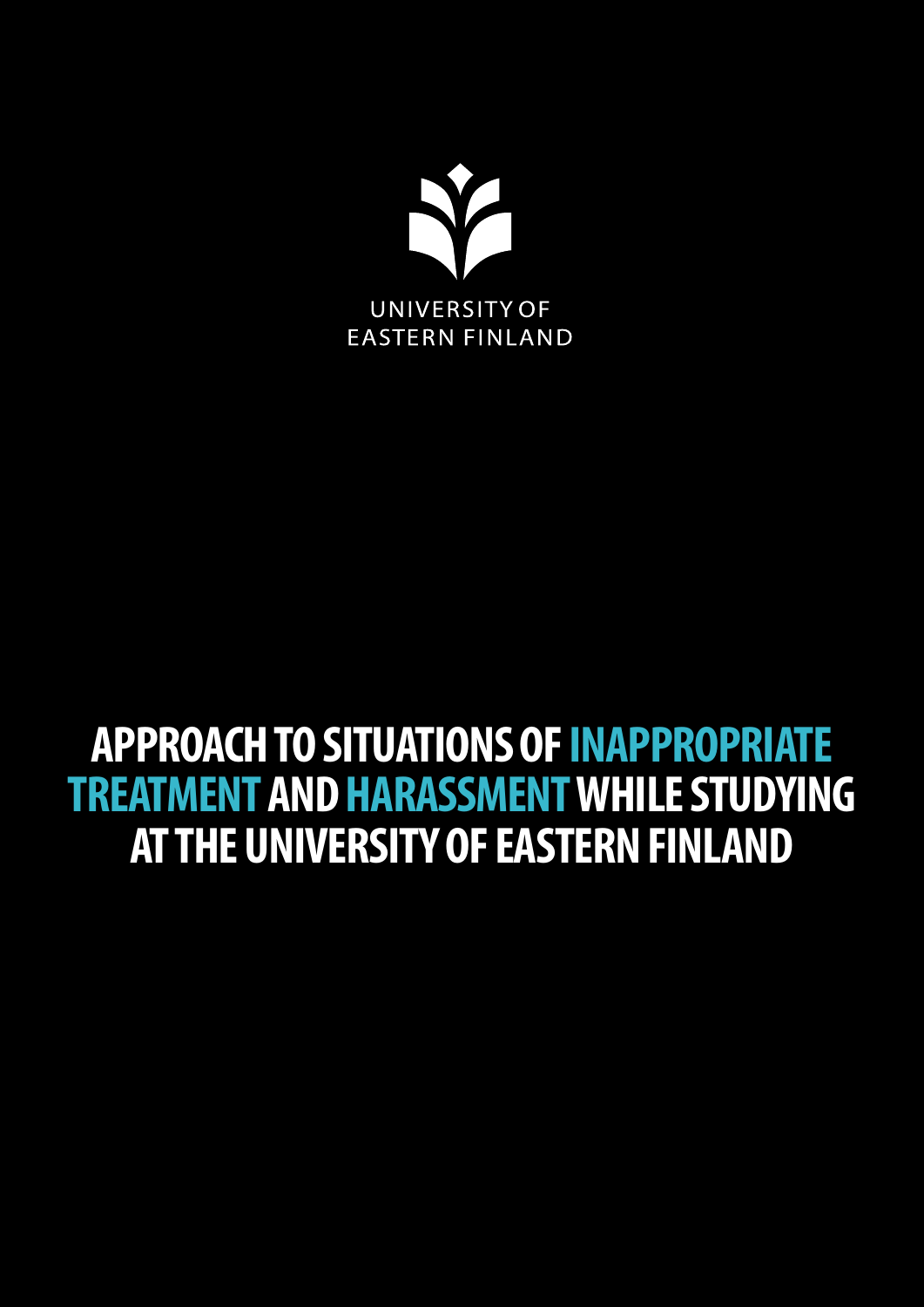

## **APPROACH TO SITUATIONS OF INAPPROPRIATE TREATMENT AND HARASSMENT WHILE STUDYING AT THE UNIVERSITY OF EASTERN FINLAND**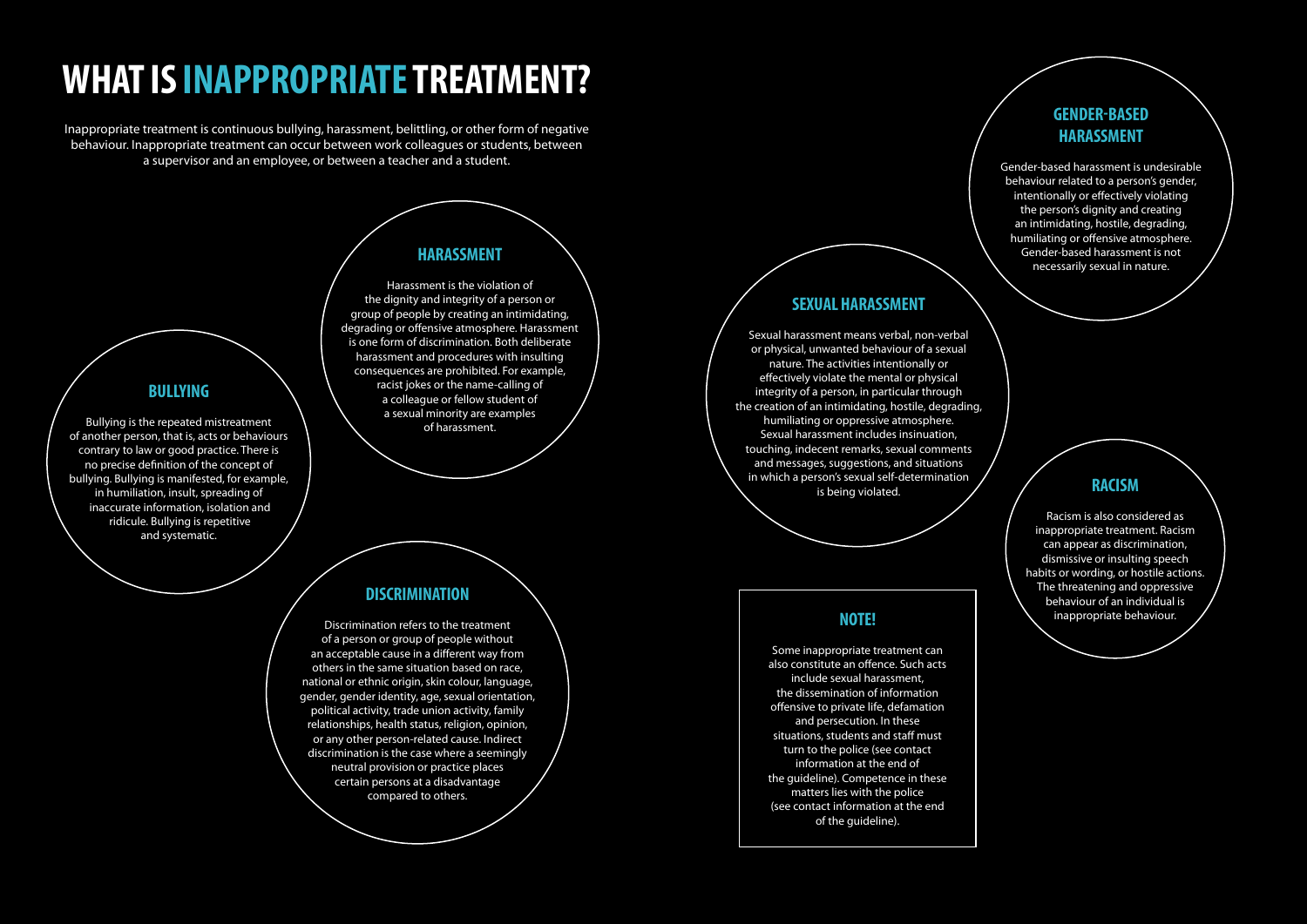# **WHAT IS INAPPROPRIATE TREATMENT?**

Inappropriate treatment is continuous bullying, harassment, belittling, or other form of negative behaviour. Inappropriate treatment can occur between work colleagues or students, between a supervisor and an employee, or between a teacher and a student.

## **BULLYING**

Bullying is the repeated mistreatment of another person, that is, acts or behaviours contrary to law or good practice. There is no precise definition of the concept of bullying. Bullying is manifested, for example, in humiliation, insult, spreading of inaccurate information, isolation and ridicule. Bullying is repetitive and systematic.

## **HARASSMENT**

Harassment is the violation of the dignity and integrity of a person or group of people by creating an intimidating, degrading or offensive atmosphere. Harassment is one form of discrimination. Both deliberate harassment and procedures with insulting consequences are prohibited. For example, racist jokes or the name-calling of a colleague or fellow student of a sexual minority are examples of harassment.

## **RACISM**

Racism is also considered as inappropriate treatment. Racism can appear as discrimination, dismissive or insulting speech habits or wording, or hostile actions. The threatening and oppressive behaviour of an individual is inappropriate behaviour.

## **SEXUAL HARASSMENT**

Sexual harassment means verbal, non-verbal or physical, unwanted behaviour of a sexual nature. The activities intentionally or effectively violate the mental or physical integrity of a person, in particular through the creation of an intimidating, hostile, degrading, humiliating or oppressive atmosphere. Sexual harassment includes insinuation, touching, indecent remarks, sexual comments and messages, suggestions, and situations in which a person's sexual self-determination is being violated.

## **DISCRIMINATION**

Discrimination refers to the treatment of a person or group of people without an acceptable cause in a different way from others in the same situation based on race, national or ethnic origin, skin colour, language, gender, gender identity, age, sexual orientation, political activity, trade union activity, family relationships, health status, religion, opinion, or any other person-related cause. Indirect discrimination is the case where a seemingly neutral provision or practice places certain persons at a disadvantage compared to others.

## **GENDER-BASED HARASSMENT**

Gender-based harassment is undesirable behaviour related to a person's gender, intentionally or effectively violating the person's dignity and creating an intimidating, hostile, degrading, humiliating or offensive atmosphere. Gender-based harassment is not necessarily sexual in nature.

## **NOTE!**

Some inappropriate treatment can also constitute an offence. Such acts include sexual harassment, the dissemination of information offensive to private life, defamation and persecution. In these situations, students and staff must turn to the police (see contact information at the end of the guideline). Competence in these matters lies with the police (see contact information at the end of the guideline).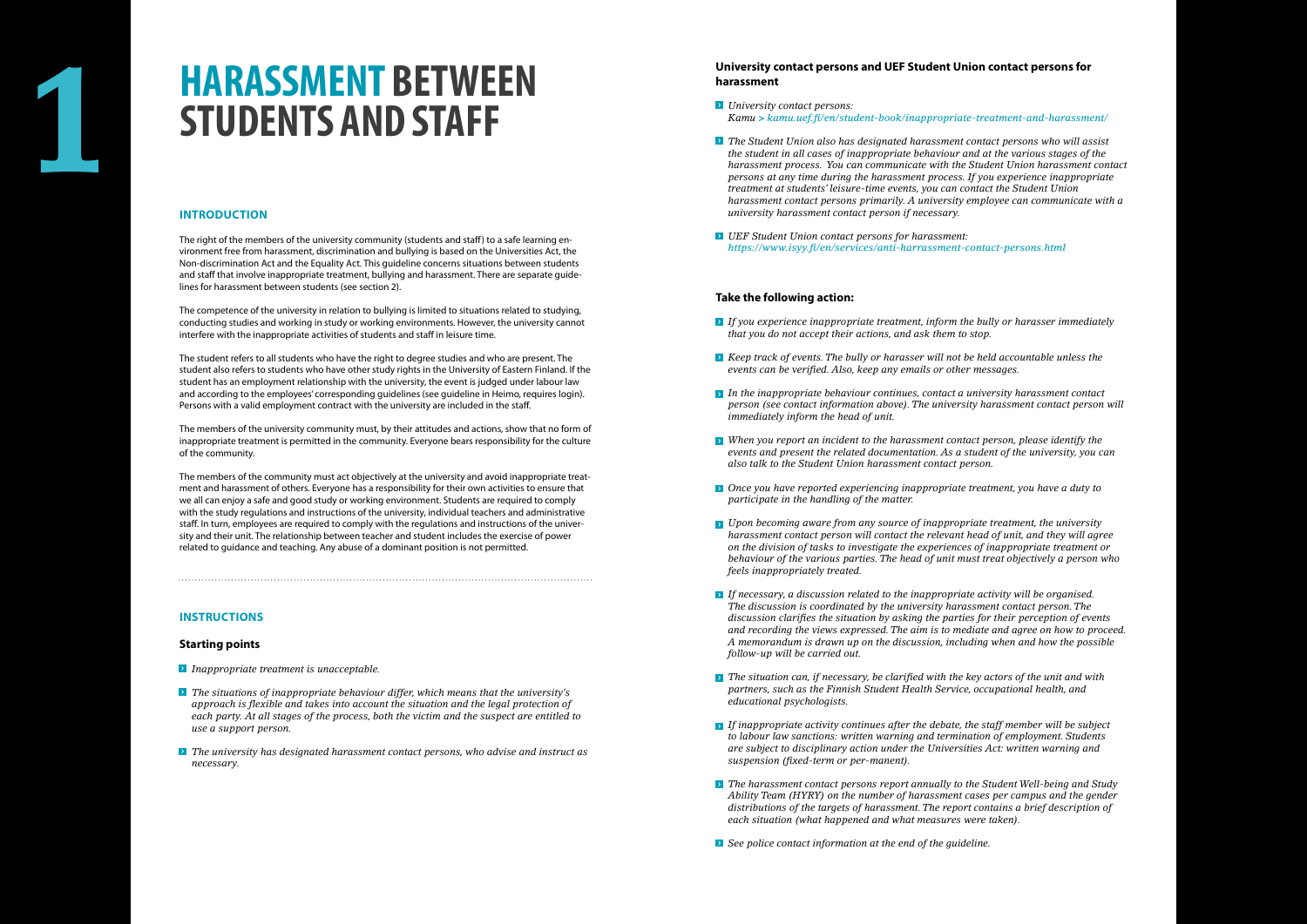## **INTRODUCTION**

The right of the members of the university community (students and staff) to a safe learning environment free from harassment, discrimination and bullying is based on the Universities Act, the Non-discrimination Act and the Equality Act. This guideline concerns situations between students and staff that involve inappropriate treatment, bullying and harassment. There are separate guidelines for harassment between students (see section 2).

The competence of the university in relation to bullying is limited to situations related to studying, conducting studies and working in study or working environments. However, the university cannot interfere with the inappropriate activities of students and staff in leisure time.

The student refers to all students who have the right to degree studies and who are present. The student also refers to students who have other study rights in the University of Eastern Finland. If the student has an employment relationship with the university, the event is judged under labour law and according to the employees' corresponding guidelines (see guideline in Heimo, requires login). Persons with a valid employment contract with the university are included in the staff.

The members of the university community must, by their attitudes and actions, show that no form of inappropriate treatment is permitted in the community. Everyone bears responsibility for the culture of the community.

The members of the community must act objectively at the university and avoid inappropriate treatment and harassment of others. Everyone has a responsibility for their own activities to ensure that we all can enjoy a safe and good study or working environment. Students are required to comply with the study regulations and instructions of the university, individual teachers and administrative staff. In turn, employees are required to comply with the regulations and instructions of the university and their unit. The relationship between teacher and student includes the exercise of power related to guidance and teaching. Any abuse of a dominant position is not permitted.

## **INSTRUCTIONS**

## **Starting points**

- *Inappropriate treatment is unacceptable.*
- *The situations of inappropriate behaviour differ, which means that the university's approach is flexible and takes into account the situation and the legal protection of each party. At all stages of the process, both the victim and the suspect are entitled to use a support person.*
- *The university has designated harassment contact persons, who advise and instruct as necessary.*

## **University contact persons and UEF Student Union contact persons for harassment**

- *University contact persons: Kamu* **>** *kamu.uef.fi/en/student-book/inappropriate-treatment-and-harassment/*
- *The Student Union also has designated harassment contact persons who will assist the student in all cases of inappropriate behaviour and at the various stages of the harassment process. You can communicate with the Student Union harassment contact persons at any time during the harassment process. If you experience inappropriate treatment at students' leisure-time events, you can contact the Student Union harassment contact persons primarily. A university employee can communicate with a university harassment contact person if necessary.*
- *UEF Student Union contact persons for harassment: https://www.isyy.fi/en/services/anti-harrassment-contact-persons.html*

## **Take the following action:**

- *If you experience inappropriate treatment, inform the bully or harasser immediately that you do not accept their actions, and ask them to stop.*
- *Keep track of events. The bully or harasser will not be held accountable unless the events can be verified. Also, keep any emails or other messages.*
- *In the inappropriate behaviour continues, contact a university harassment contact person (see contact information above). The university harassment contact person will immediately inform the head of unit.*
- *When you report an incident to the harassment contact person, please identify the events and present the related documentation. As a student of the university, you can also talk to the Student Union harassment contact person.*
- *Once you have reported experiencing inappropriate treatment, you have a duty to participate in the handling of the matter.*
- *Upon becoming aware from any source of inappropriate treatment, the university harassment contact person will contact the relevant head of unit, and they will agree on the division of tasks to investigate the experiences of inappropriate treatment or behaviour of the various parties. The head of unit must treat objectively a person who feels inappropriately treated.*
- *If necessary, a discussion related to the inappropriate activity will be organised. The discussion is coordinated by the university harassment contact person. The discussion clarifies the situation by asking the parties for their perception of events and recording the views expressed. The aim is to mediate and agree on how to proceed. A memorandum is drawn up on the discussion, including when and how the possible follow-up will be carried out.*
- *The situation can, if necessary, be clarified with the key actors of the unit and with partners, such as the Finnish Student Health Service, occupational health, and educational psychologists.*
- *If inappropriate activity continues after the debate, the staff member will be subject to labour law sanctions: written warning and termination of employment. Students are subject to disciplinary action under the Universities Act: written warning and suspension (fixed-term or per-manent).*
- *The harassment contact persons report annually to the Student Well-being and Study Ability Team (HYRY) on the number of harassment cases per campus and the gender distributions of the targets of harassment. The report contains a brief description of each situation (what happened and what measures were taken).*
- *See police contact information at the end of the guideline.*

# **HARASSMENT BETWEEN 1 STUDENTS AND STAFF**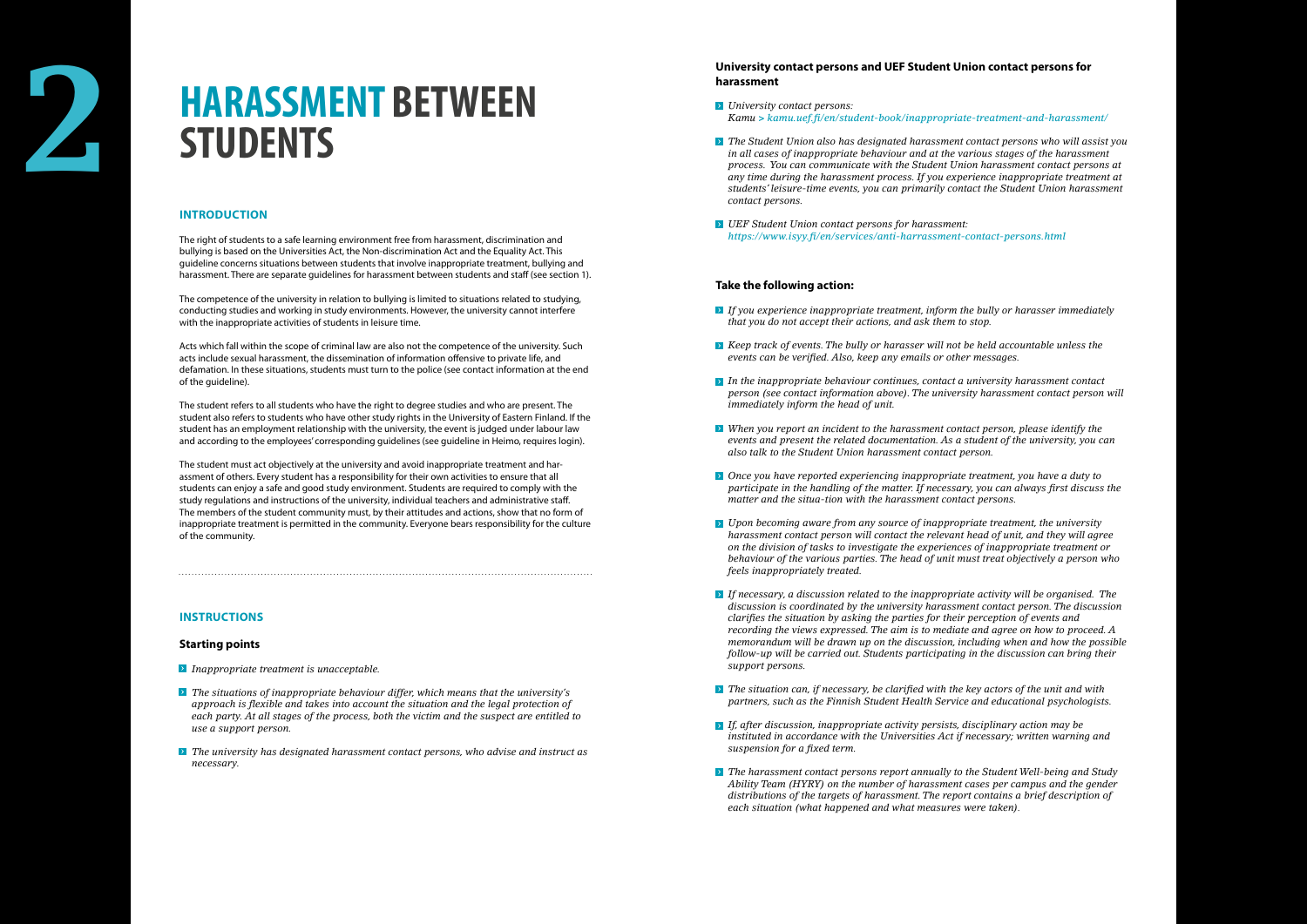# **2 HARASSMENT BETWEEN STUDENTS**

## **INTRODUCTION**

The right of students to a safe learning environment free from harassment, discrimination and bullying is based on the Universities Act, the Non-discrimination Act and the Equality Act. This guideline concerns situations between students that involve inappropriate treatment, bullying and harassment. There are separate guidelines for harassment between students and staff (see section 1).

The student refers to all students who have the right to degree studies and who are present. The student also refers to students who have other study rights in the University of Eastern Finland. If the student has an employment relationship with the university, the event is judged under labour law and according to the employees' corresponding quidelines (see quideline in Heimo, requires login).

The competence of the university in relation to bullying is limited to situations related to studying, conducting studies and working in study environments. However, the university cannot interfere with the inappropriate activities of students in leisure time.

Acts which fall within the scope of criminal law are also not the competence of the university. Such acts include sexual harassment, the dissemination of information offensive to private life, and defamation. In these situations, students must turn to the police (see contact information at the end of the guideline).

The student must act objectively at the university and avoid inappropriate treatment and harassment of others. Every student has a responsibility for their own activities to ensure that all students can enjoy a safe and good study environment. Students are required to comply with the study regulations and instructions of the university, individual teachers and administrative staff. The members of the student community must, by their attitudes and actions, show that no form of inappropriate treatment is permitted in the community. Everyone bears responsibility for the culture of the community.

## **INSTRUCTIONS**

## **Starting points**

- *Inappropriate treatment is unacceptable.*
- *The situations of inappropriate behaviour differ, which means that the university's approach is flexible and takes into account the situation and the legal protection of each party. At all stages of the process, both the victim and the suspect are entitled to use a support person.*
- **The university has designated harassment contact persons, who advise and instruct as** *necessary.*

## **University contact persons and UEF Student Union contact persons for harassment**

- *University contact persons: Kamu* **>** *kamu.uef.fi/en/student-book/inappropriate-treatment-and-harassment/*
- *The Student Union also has designated harassment contact persons who will assist you in all cases of inappropriate behaviour and at the various stages of the harassment process. You can communicate with the Student Union harassment contact persons at any time during the harassment process. If you experience inappropriate treatment at students' leisure-time events, you can primarily contact the Student Union harassment contact persons.*
- *UEF Student Union contact persons for harassment: https://www.isyy.fi/en/services/anti-harrassment-contact-persons.html*

- *If you experience inappropriate treatment, inform the bully or harasser immediately that you do not accept their actions, and ask them to stop.*
- *Keep track of events. The bully or harasser will not be held accountable unless the events can be verified. Also, keep any emails or other messages.*
- *In the inappropriate behaviour continues, contact a university harassment contact person (see contact information above). The university harassment contact person will immediately inform the head of unit.*
- *When you report an incident to the harassment contact person, please identify the events and present the related documentation. As a student of the university, you can also talk to the Student Union harassment contact person.*
- *Once you have reported experiencing inappropriate treatment, you have a duty to participate in the handling of the matter. If necessary, you can always first discuss the matter and the situa-tion with the harassment contact persons.*
- *Upon becoming aware from any source of inappropriate treatment, the university harassment contact person will contact the relevant head of unit, and they will agree on the division of tasks to investigate the experiences of inappropriate treatment or behaviour of the various parties. The head of unit must treat objectively a person who feels inappropriately treated.*
- *If necessary, a discussion related to the inappropriate activity will be organised. The discussion is coordinated by the university harassment contact person. The discussion clarifies the situation by asking the parties for their perception of events and recording the views expressed. The aim is to mediate and agree on how to proceed. A memorandum will be drawn up on the discussion, including when and how the possible follow-up will be carried out. Students participating in the discussion can bring their support persons.*
- *The situation can, if necessary, be clarified with the key actors of the unit and with partners, such as the Finnish Student Health Service and educational psychologists.*
- *If, after discussion, inappropriate activity persists, disciplinary action may be instituted in accordance with the Universities Act if necessary; written warning and suspension for a fixed term.*
- **The harassment contact persons report annually to the Student Well-being and Study** *Ability Team (HYRY) on the number of harassment cases per campus and the gender distributions of the targets of harassment. The report contains a brief description of each situation (what happened and what measures were taken).*

## **Take the following action:**